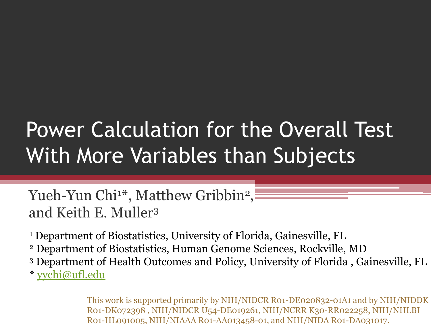#### Power Calculation for the Overall Test With More Variables than Subjects

Yueh-Yun Chi1\*, Matthew Gribbin<sup>2</sup>, and Keith E. Muller<sup>3</sup>

<sup>1</sup> Department of Biostatistics, University of Florida, Gainesville, FL

- <sup>2</sup> Department of Biostatistics, Human Genome Sciences, Rockville, MD
- <sup>3</sup> Department of Health Outcomes and Policy, University of Florida , Gainesville, FL

\* [yychi@ufl.edu](mailto:yychi@ufl.edu)

This work is supported primarily by NIH/NIDCR R01-DE020832-01A1 and by NIH/NIDDK R01-DK072398 , NIH/NIDCR U54-DE019261, NIH/NCRR K30-RR022258, NIH/NHLBI R01-HL091005, NIH/NIAAA R01-AA013458-01, and NIH/NIDA R01-DA031017.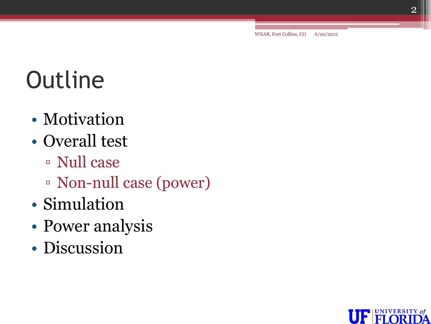WNAR, Fort Collins, CO 6/20/2012

# **Outline**

- Motivation
- Overall test
	- Null case
	- Non-null case (power)
- Simulation
- Power analysis
- Discussion

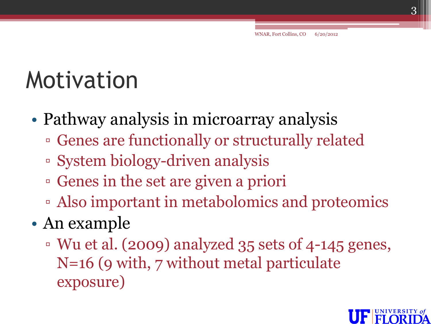#### Motivation

- Pathway analysis in microarray analysis
	- Genes are functionally or structurally related
	- System biology-driven analysis
	- Genes in the set are given a priori
	- Also important in metabolomics and proteomics
- An example
	- Wu et al. (2009) analyzed 35 sets of 4-145 genes, N=16 (9 with, 7 without metal particulate exposure)

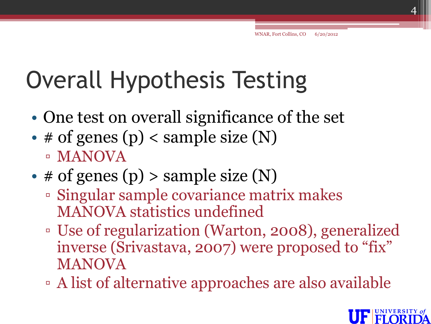# Overall Hypothesis Testing

- One test on overall significance of the set
- # of genes (p) < sample size  $(N)$ ▫ MANOVA
- # of genes (p) > sample size  $(N)$ 
	- Singular sample covariance matrix makes MANOVA statistics undefined
	- Use of regularization (Warton, 2008), generalized inverse (Srivastava, 2007) were proposed to "fix" MANOVA
	- A list of alternative approaches are also available

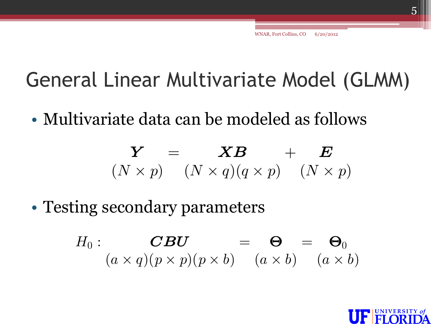#### General Linear Multivariate Model (GLMM)

• Multivariate data can be modeled as follows

$$
\mathbf{Y} = \mathbf{X}\mathbf{B} + \mathbf{E}
$$
  

$$
(N \times p) \quad (N \times q)(q \times p) \quad (N \times p)
$$

• Testing secondary parameters

$$
H_0: \t\t\t\t\tCBU(a \times q)(p \times p)(p \times b) = \t\t(a \times b) = (a \times b)
$$

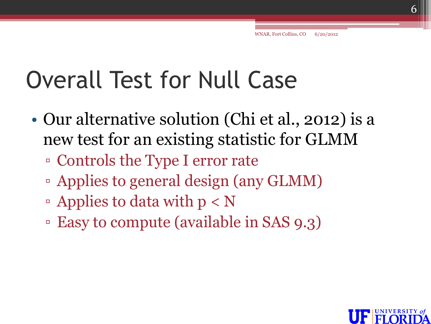#### Overall Test for Null Case

- Our alternative solution (Chi et al., 2012) is a new test for an existing statistic for GLMM
	- Controls the Type I error rate
	- Applies to general design (any GLMM)
	- $\Delta$  Applies to data with  $p < N$
	- Easy to compute (available in SAS 9.3)

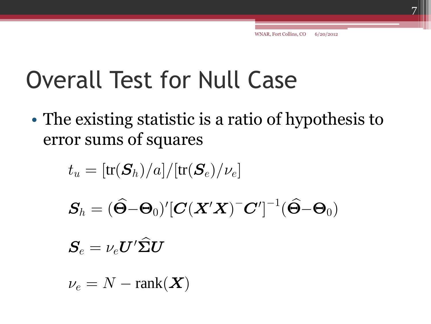#### Overall Test for Null Case

• The existing statistic is a ratio of hypothesis to error sums of squares $t_u = [{\rm tr}(\boldsymbol{S}_h)/a]/[{\rm tr}(\boldsymbol{S}_e)/\nu_e]$ 

$$
t_u = [\text{tr}(\boldsymbol{S}_h)/a]/[\text{tr}(\boldsymbol{S}_e)/\nu_e]
$$

$$
S_h = (\widehat{\boldsymbol{\Theta}} - \boldsymbol{\Theta}_0)' [\boldsymbol{C} (\boldsymbol{X}'\boldsymbol{X})^{-} \boldsymbol{C}']^{-1} (\widehat{\boldsymbol{\Theta}} - \boldsymbol{\Theta}_0)
$$

$$
\boldsymbol{S}_{\! e} = \nu_e \boldsymbol{U}' \boldsymbol{\widehat{\Sigma}} \boldsymbol{U}
$$

 $\nu_e = N - \text{rank}(\boldsymbol{X})$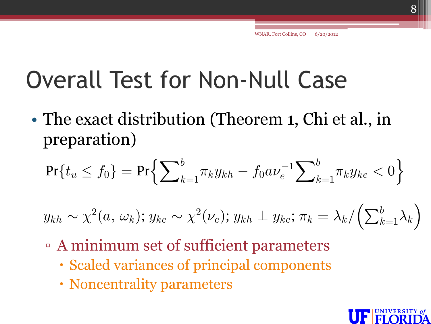#### Overall Test for Non-Null Case

• The exact distribution (Theorem 1, Chi et al., in preparation)

The exact distribution (Theorem 1, Cm et al., in  
preparation)  
Pr{
$$
t_u \le f_0
$$
} = Pr{ $\sum_{k=1}^{b} \pi_k y_{kh} - f_0 a \nu_e^{-1} \sum_{k=1}^{b} \pi_k y_{ke} < 0$ }

$$
\Pr\{t_u \le f_0\} = \Pr\{\sum_{k=1}^{\infty} \pi_k y_{kh} - f_0 a \nu_e^{-1} \sum_{k=1}^{\infty} \pi_k y_{ke} < 0\}
$$
\n
$$
y_{kh} \sim \chi^2(a, \omega_k); y_{ke} \sim \chi^2(\nu_e); y_{kh} \perp y_{ke}; \pi_k = \lambda_k / \left(\sum_{k=1}^b \lambda_k\right)
$$

- A minimum set of sufficient parameters
	- Scaled variances of principal components
	- Noncentrality parameters

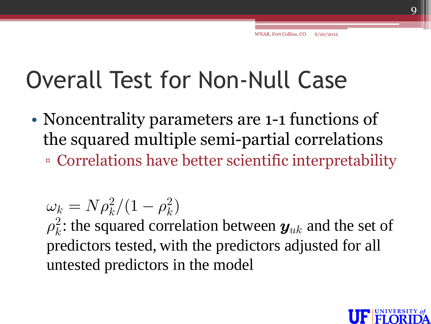#### Overall Test for Non-Null Case

• Noncentrality parameters are 1-1 functions of the squared multiple semi-partial correlations ▫ Correlations have better scientific interpretability

 $\omega_k = N \rho_k^2 / (1 - \rho_k^2)$  $\rho_k^2$  $k^2$ : the squared correlation between  $\bm{y}_{uk}$  and the set of  $\omega_k = N \rho_k^2$ : the squared correlation between  $y_{uk}$  and the set predictors tested, with the predictors adjusted for all untested predictors in the model

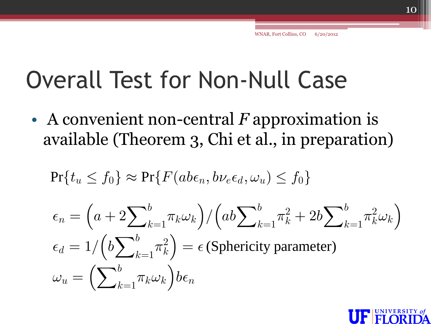#### Overall Test for Non-Null Case

• A convenient non-central *F* approximation is available (Theorem 3, Chi et al., in preparation)<br>  $\Pr\{t_u \leq f_0\} \approx \Pr\{F(ab\epsilon_n, b\nu_e\epsilon_d, \omega_u) \leq f_0\}$ 

$$
\Pr\{t_u \le f_0\} \approx \Pr\{F(ab\epsilon_n, b\nu_e\epsilon_d, \omega_u) \le f_0\}
$$

$$
\Pr\{t_u \le f_0\} \approx \Pr\{F(abe_n, b\nu_e \epsilon_d, \omega_u) \le f_0\}
$$
\n
$$
\epsilon_n = \left(a + 2\sum_{k=1}^b \pi_k \omega_k\right) / \left(ab \sum_{k=1}^b \pi_k^2 + 2b \sum_{k=1}^b \pi_k^2 \omega_k\right)
$$
\n
$$
\epsilon_d = 1 / \left(b \sum_{k=1}^b \pi_k^2\right) = \epsilon \text{ (Sphericity parameter)}
$$
\n
$$
\omega_u = \left(\sum_{k=1}^b \pi_k \omega_k\right) b\epsilon_n
$$

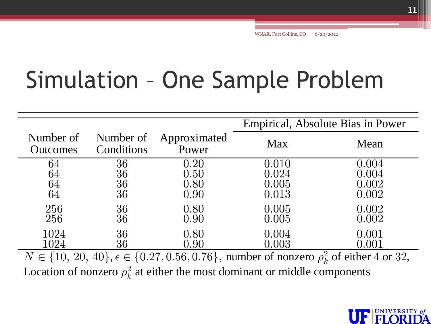## Simulation – One Sample Problem

|                                                                                                            | Empirical, Absolute Bias in Power |       |  |  |
|------------------------------------------------------------------------------------------------------------|-----------------------------------|-------|--|--|
| Number of<br>Approximated<br>Number of<br>Conditions<br>Power<br><b>Outcomes</b>                           | Max                               | Mean  |  |  |
| 36<br>0.20<br>64                                                                                           | 0.010                             | 0.004 |  |  |
| 36<br>0.50<br>64                                                                                           | 0.024                             | 0.004 |  |  |
| 36<br>64<br>0.80                                                                                           | 0.005                             | 0.002 |  |  |
| 36<br>64<br>0.90                                                                                           | 0.013                             | 0.002 |  |  |
| 256<br>36<br>0.80                                                                                          | 0.005                             | 0.002 |  |  |
| 36<br>256<br>0.90                                                                                          | 0.005                             | 0.002 |  |  |
| 1024<br>36<br>0.80                                                                                         | 0.004                             | 0.001 |  |  |
| 36<br>1024<br>0.90                                                                                         | 0.003                             | 0.001 |  |  |
| $N \in \{10, 20, 40\}, \epsilon \in \{0.27, 0.56, 0.76\},$ number of nonzero $\rho_k^2$ of either 4 or 32, |                                   |       |  |  |
| Location of nonzero $\rho_k^2$ at either the most dominant or middle components                            |                                   |       |  |  |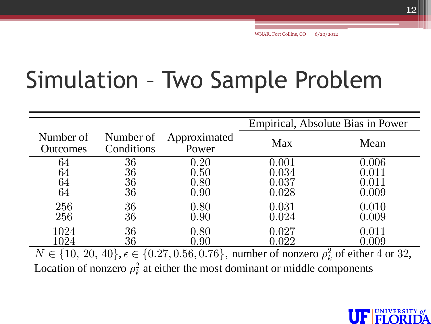### Simulation – Two Sample Problem

|                              |                         |                       | Empirical, Absolute Bias in Power |       |
|------------------------------|-------------------------|-----------------------|-----------------------------------|-------|
| Number of<br><b>Outcomes</b> | Number of<br>Conditions | Approximated<br>Power | <b>Max</b>                        | Mean  |
| 64                           | 36                      | 0.20                  | 0.001                             | 0.006 |
| 64                           | 36                      | 0.50                  | 0.034                             | 0.011 |
| 64                           | 36                      | 0.80                  | 0.037                             | 0.011 |
| 64                           | 36                      | 0.90                  | 0.028                             | 0.009 |
| 256                          | 36                      | 0.80                  | 0.031                             | 0.010 |
| 256                          | 36                      | 0.90                  | 0.024                             | 0.009 |
| 1024                         | 36                      | 0.80                  | 0.027                             | 0.011 |
| 1024                         | 36                      | 0.90                  | 0.022                             | 0.009 |

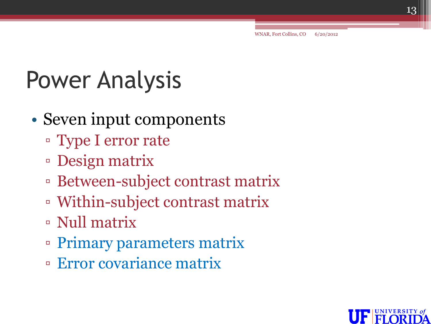## Power Analysis

- Seven input components
	- Type I error rate
	- Design matrix
	- Between-subject contrast matrix
	- Within-subject contrast matrix
	- Null matrix
	- Primary parameters matrix
	- Error covariance matrix

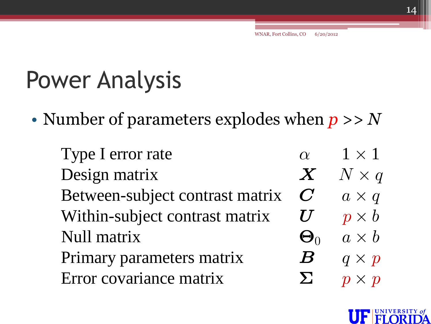### Power Analysis

• Number of parameters explodes when *p* >> *N*

| umber of parameters explodes when $p >> N$ |                  |              |
|--------------------------------------------|------------------|--------------|
| Type I error rate                          | $\alpha$         | $1 \times 1$ |
| Design matrix                              | $\bm{X}$         | $N \times q$ |
| Between-subject contrast matrix            | $\boldsymbol{C}$ | $a \times q$ |
| Within-subject contrast matrix             | $\boldsymbol{U}$ | $p \times b$ |
| Null matrix                                | $\Theta_0$       | $a \times b$ |
| Primary parameters matrix                  | $\boldsymbol{B}$ | $q \times p$ |
| Error covariance matrix                    | $\sum$           | $p \times p$ |
|                                            |                  |              |

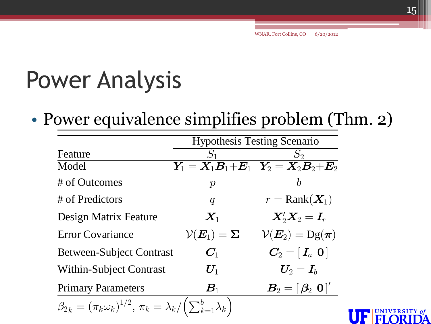#### Power Analysis

• Power equivalence simplifies problem (Thm. 2)

|                                                                          | <b>Hypothesis Testing Scenario</b>    |                                                                     |  |
|--------------------------------------------------------------------------|---------------------------------------|---------------------------------------------------------------------|--|
| Feature                                                                  |                                       | $S_2$                                                               |  |
| Model                                                                    |                                       | $Y_1 = X_1B_1 + E_1$ $Y_2 = X_2B_2 + E_2$                           |  |
| # of Outcomes                                                            | $\boldsymbol{p}$                      | $\boldsymbol{b}$                                                    |  |
| # of Predictors                                                          | $\boldsymbol{q}$                      | $r = \text{Rank}(\boldsymbol{X}_1)$                                 |  |
| Design Matrix Feature                                                    | $\boldsymbol{X}_1$                    | $X_2'X_2=I_r$                                                       |  |
| <b>Error Covariance</b>                                                  | $\mathcal{V}(\bm{E}_1) = \bm{\Sigma}$ | $V(E_2) = \text{Dg}(\pi)$                                           |  |
| <b>Between-Subject Contrast</b>                                          | $C_1$                                 | $\mathbf{C}_2 = \left[ \, \mathbf{I}_a \,\, \mathbf{0} \, \right]$  |  |
| <b>Within-Subject Contrast</b>                                           | $U_1$                                 | $\bm{U}_2=\bm{I}_h$                                                 |  |
| <b>Primary Parameters</b>                                                | $\boldsymbol{B}_1$                    | $\boldsymbol{B}_2 = [\boldsymbol{\beta}_2 \ \boldsymbol{0}]^\prime$ |  |
| $\beta_{2k} = (\pi_k \omega_k)^{1/2}, \pi_k = \lambda_k / (\sum_{k=1}^b$ |                                       |                                                                     |  |
|                                                                          |                                       |                                                                     |  |

VERSIT

H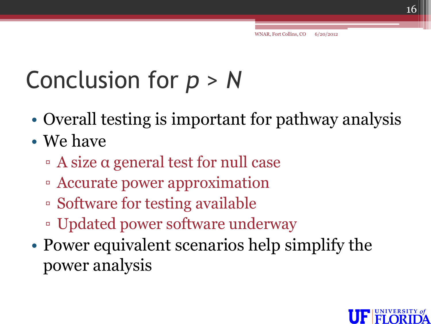# Conclusion for *p* > *N*

- Overall testing is important for pathway analysis
- We have
	- A size α general test for null case
	- Accurate power approximation
	- Software for testing available
	- Updated power software underway
- Power equivalent scenarios help simplify the power analysis

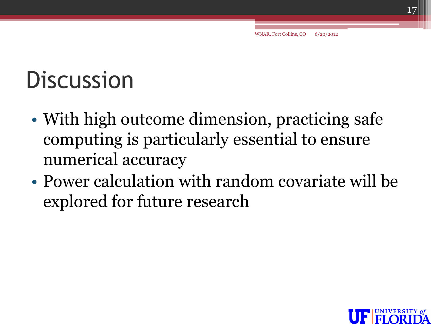# **Discussion**

- With high outcome dimension, practicing safe computing is particularly essential to ensure numerical accuracy
- Power calculation with random covariate will be explored for future research